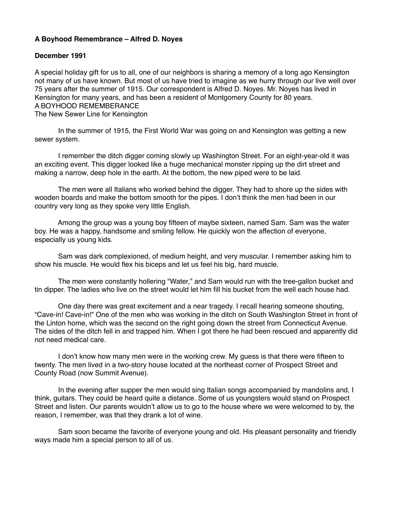## **A Boyhood Remembrance – Alfred D. Noyes**

## **December 1991**

A special holiday gift for us to all, one of our neighbors is sharing a memory of a long ago Kensington not many of us have known. But most of us have tried to imagine as we hurry through our live well over 75 years after the summer of 1915. Our correspondent is Alfred D. Noyes. Mr. Noyes has lived in Kensington for many years, and has been a resident of Montgomery County for 80 years. A BOYHOOD REMEMBERANCE The New Sewer Line for Kensington

 In the summer of 1915, the First World War was going on and Kensington was getting a new sewer system.

 I remember the ditch digger coming slowly up Washington Street. For an eight-year-old it was an exciting event. This digger looked like a huge mechanical monster ripping up the dirt street and making a narrow, deep hole in the earth. At the bottom, the new piped were to be laid.

 The men were all Italians who worked behind the digger. They had to shore up the sides with wooden boards and make the bottom smooth for the pipes. I don't think the men had been in our country very long as they spoke very little English.

 Among the group was a young boy fifteen of maybe sixteen, named Sam. Sam was the water boy. He was a happy, handsome and smiling fellow. He quickly won the affection of everyone, especially us young kids.

 Sam was dark complexioned, of medium height, and very muscular. I remember asking him to show his muscle. He would flex his biceps and let us feel his big, hard muscle.

 The men were constantly hollering "Water," and Sam would run with the tree-gallon bucket and tin dipper. The ladies who live on the street would let him fill his bucket from the well each house had.

 One day there was great excitement and a near tragedy. I recall hearing someone shouting, "Cave-in! Cave-in!" One of the men who was working in the ditch on South Washington Street in front of the Linton home, which was the second on the right going down the street from Connecticut Avenue. The sides of the ditch fell in and trapped him. When I got there he had been rescued and apparently did not need medical care.

 I don't know how many men were in the working crew. My guess is that there were fifteen to twenty. The men lived in a two-story house located at the northeast corner of Prospect Street and County Road (now Summit Avenue).

 In the evening after supper the men would sing Italian songs accompanied by mandolins and, I think, guitars. They could be heard quite a distance. Some of us youngsters would stand on Prospect Street and listen. Our parents wouldn't allow us to go to the house where we were welcomed to by, the reason, I remember, was that they drank a lot of wine.

 Sam soon became the favorite of everyone young and old. His pleasant personality and friendly ways made him a special person to all of us.